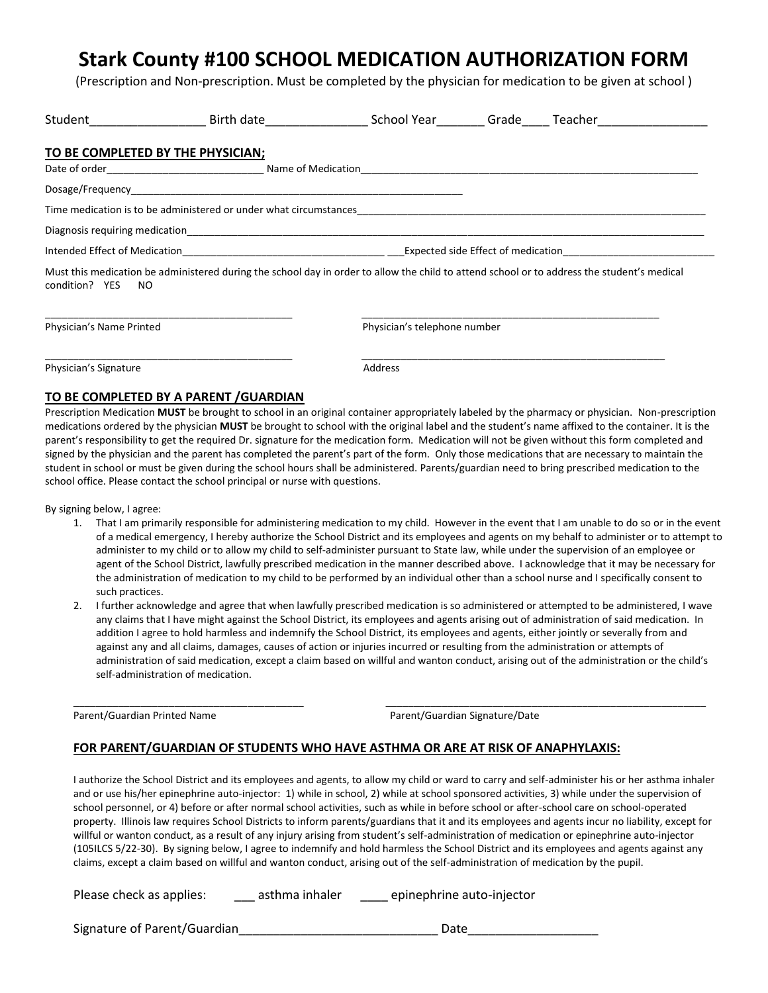## **Stark County #100 SCHOOL MEDICATION AUTHORIZATION FORM**

(Prescription and Non-prescription. Must be completed by the physician for medication to be given at school )

| Student_____________<br>Birth date and the state                                                                                                                 |                                                                                                        | School Year | Grade | Teacher |  |  |  |
|------------------------------------------------------------------------------------------------------------------------------------------------------------------|--------------------------------------------------------------------------------------------------------|-------------|-------|---------|--|--|--|
| TO BE COMPLETED BY THE PHYSICIAN;                                                                                                                                |                                                                                                        |             |       |         |  |  |  |
|                                                                                                                                                                  |                                                                                                        |             |       |         |  |  |  |
| Time medication is to be administered or under what circumstances                                                                                                |                                                                                                        |             |       |         |  |  |  |
|                                                                                                                                                                  |                                                                                                        |             |       |         |  |  |  |
|                                                                                                                                                                  | Intended Effect of Medication <b>South American</b> Service Control Expected side Effect of medication |             |       |         |  |  |  |
| Must this medication be administered during the school day in order to allow the child to attend school or to address the student's medical<br>condition? YES NO |                                                                                                        |             |       |         |  |  |  |

Physician's Name Printed **Physician's telephone number** 

Physician's Signature **Address** Address

\_\_\_\_\_\_\_\_\_\_\_\_\_\_\_\_\_\_\_\_\_\_\_\_\_\_\_\_\_\_\_\_\_\_\_\_\_\_\_\_\_\_\_\_ \_\_\_\_\_\_\_\_\_\_\_\_\_\_\_\_\_\_\_\_\_\_\_\_\_\_\_\_\_\_\_\_\_\_\_\_\_\_\_\_\_\_\_\_\_\_\_\_\_\_\_\_\_\_

## **TO BE COMPLETED BY A PARENT /GUARDIAN**

Prescription Medication **MUST** be brought to school in an original container appropriately labeled by the pharmacy or physician. Non-prescription medications ordered by the physician **MUST** be brought to school with the original label and the student's name affixed to the container. It is the parent's responsibility to get the required Dr. signature for the medication form. Medication will not be given without this form completed and signed by the physician and the parent has completed the parent's part of the form. Only those medications that are necessary to maintain the student in school or must be given during the school hours shall be administered. Parents/guardian need to bring prescribed medication to the school office. Please contact the school principal or nurse with questions.

By signing below, I agree:

- 1. That I am primarily responsible for administering medication to my child. However in the event that I am unable to do so or in the event of a medical emergency, I hereby authorize the School District and its employees and agents on my behalf to administer or to attempt to administer to my child or to allow my child to self-administer pursuant to State law, while under the supervision of an employee or agent of the School District, lawfully prescribed medication in the manner described above. I acknowledge that it may be necessary for the administration of medication to my child to be performed by an individual other than a school nurse and I specifically consent to such practices.
- 2. I further acknowledge and agree that when lawfully prescribed medication is so administered or attempted to be administered, I wave any claims that I have might against the School District, its employees and agents arising out of administration of said medication. In addition I agree to hold harmless and indemnify the School District, its employees and agents, either jointly or severally from and against any and all claims, damages, causes of action or injuries incurred or resulting from the administration or attempts of administration of said medication, except a claim based on willful and wanton conduct, arising out of the administration or the child's self-administration of medication.

\_\_\_\_\_\_\_\_\_\_\_\_\_\_\_\_\_\_\_\_\_\_\_\_\_\_\_\_\_\_\_\_\_\_\_\_\_\_\_\_\_ \_\_\_\_\_\_\_\_\_\_\_\_\_\_\_\_\_\_\_\_\_\_\_\_\_\_\_\_\_\_\_\_\_\_\_\_\_\_\_\_\_\_\_\_\_\_\_\_\_\_\_\_\_\_\_\_\_

Parent/Guardian Printed Name **Parent/Guardian Signature/Date** 

## **FOR PARENT/GUARDIAN OF STUDENTS WHO HAVE ASTHMA OR ARE AT RISK OF ANAPHYLAXIS:**

I authorize the School District and its employees and agents, to allow my child or ward to carry and self-administer his or her asthma inhaler and or use his/her epinephrine auto-injector: 1) while in school, 2) while at school sponsored activities, 3) while under the supervision of school personnel, or 4) before or after normal school activities, such as while in before school or after-school care on school-operated property. Illinois law requires School Districts to inform parents/guardians that it and its employees and agents incur no liability, except for willful or wanton conduct, as a result of any injury arising from student's self-administration of medication or epinephrine auto-injector (105ILCS 5/22-30). By signing below, I agree to indemnify and hold harmless the School District and its employees and agents against any claims, except a claim based on willful and wanton conduct, arising out of the self-administration of medication by the pupil.

Please check as applies: easthma inhaler epinephrine auto-injector

Signature of Parent/Guardian The Contract of Late of Parent/Guardian Date